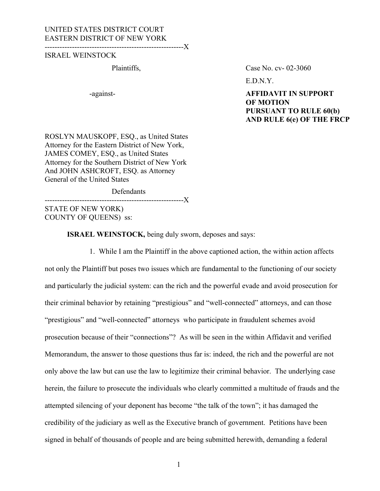#### UNITED STATES DISTRICT COURT EASTERN DISTRICT OF NEW YORK

--------------------------------------------------------X

#### ISRAEL WEINSTOCK

Plaintiffs, Case No. cv- 02-3060

E.D.N.Y.

-against- **AFFIDAVIT IN SUPPORT OF MOTION PURSUANT TO RULE 60(b) AND RULE 6(e) OF THE FRCP**

ROSLYN MAUSKOPF, ESQ., as United States Attorney for the Eastern District of New York, JAMES COMEY, ESQ., as United States Attorney for the Southern District of New York And JOHN ASHCROFT, ESQ. as Attorney General of the United States

**Defendants** 

--------------------------------------------------------X

STATE OF NEW YORK) COUNTY OF QUEENS) ss:

**ISRAEL WEINSTOCK,** being duly sworn, deposes and says:

1. While I am the Plaintiff in the above captioned action, the within action affects not only the Plaintiff but poses two issues which are fundamental to the functioning of our society and particularly the judicial system: can the rich and the powerful evade and avoid prosecution for their criminal behavior by retaining "prestigious" and "well-connected" attorneys, and can those "prestigious" and "well-connected" attorneys who participate in fraudulent schemes avoid prosecution because of their "connections"? As will be seen in the within Affidavit and verified Memorandum, the answer to those questions thus far is: indeed, the rich and the powerful are not only above the law but can use the law to legitimize their criminal behavior. The underlying case herein, the failure to prosecute the individuals who clearly committed a multitude of frauds and the attempted silencing of your deponent has become "the talk of the town"; it has damaged the credibility of the judiciary as well as the Executive branch of government. Petitions have been signed in behalf of thousands of people and are being submitted herewith, demanding a federal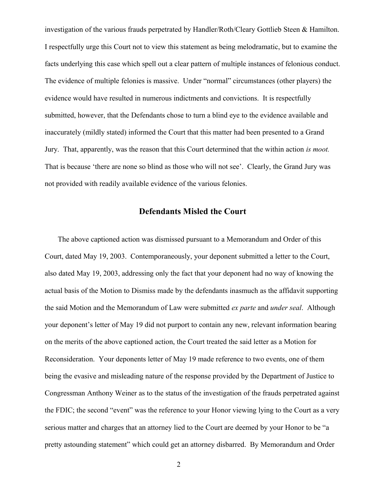investigation of the various frauds perpetrated by Handler/Roth/Cleary Gottlieb Steen & Hamilton. I respectfully urge this Court not to view this statement as being melodramatic, but to examine the facts underlying this case which spell out a clear pattern of multiple instances of felonious conduct. The evidence of multiple felonies is massive. Under "normal" circumstances (other players) the evidence would have resulted in numerous indictments and convictions. It is respectfully submitted, however, that the Defendants chose to turn a blind eye to the evidence available and inaccurately (mildly stated) informed the Court that this matter had been presented to a Grand Jury. That, apparently, was the reason that this Court determined that the within action *is moot.* That is because 'there are none so blind as those who will not see'. Clearly, the Grand Jury was not provided with readily available evidence of the various felonies.

#### **Defendants Misled the Court**

 The above captioned action was dismissed pursuant to a Memorandum and Order of this Court, dated May 19, 2003. Contemporaneously, your deponent submitted a letter to the Court, also dated May 19, 2003, addressing only the fact that your deponent had no way of knowing the actual basis of the Motion to Dismiss made by the defendants inasmuch as the affidavit supporting the said Motion and the Memorandum of Law were submitted *ex parte* and *under seal*. Although your deponent's letter of May 19 did not purport to contain any new, relevant information bearing on the merits of the above captioned action, the Court treated the said letter as a Motion for Reconsideration. Your deponents letter of May 19 made reference to two events, one of them being the evasive and misleading nature of the response provided by the Department of Justice to Congressman Anthony Weiner as to the status of the investigation of the frauds perpetrated against the FDIC; the second "event" was the reference to your Honor viewing lying to the Court as a very serious matter and charges that an attorney lied to the Court are deemed by your Honor to be "a pretty astounding statement" which could get an attorney disbarred. By Memorandum and Order

2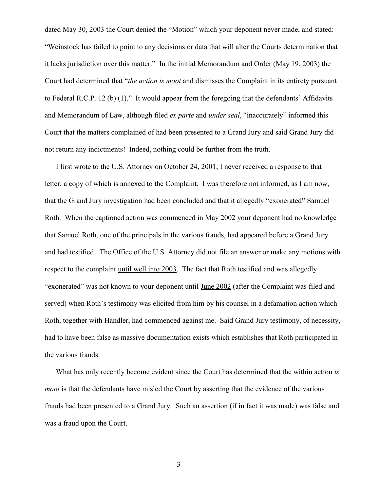dated May 30, 2003 the Court denied the "Motion" which your deponent never made, and stated: "Weinstock has failed to point to any decisions or data that will alter the Courts determination that it lacks jurisdiction over this matter." In the initial Memorandum and Order (May 19, 2003) the Court had determined that "*the action is moot* and dismisses the Complaint in its entirety pursuant to Federal R.C.P. 12 (b) (1)." It would appear from the foregoing that the defendants' Affidavits and Memorandum of Law, although filed *ex parte* and *under seal*, "inaccurately" informed this Court that the matters complained of had been presented to a Grand Jury and said Grand Jury did not return any indictments! Indeed, nothing could be further from the truth.

I first wrote to the U.S. Attorney on October 24, 2001; I never received a response to that letter, a copy of which is annexed to the Complaint. I was therefore not informed, as I am now, that the Grand Jury investigation had been concluded and that it allegedly "exonerated" Samuel Roth. When the captioned action was commenced in May 2002 your deponent had no knowledge that Samuel Roth, one of the principals in the various frauds, had appeared before a Grand Jury and had testified. The Office of the U.S. Attorney did not file an answer or make any motions with respect to the complaint until well into 2003. The fact that Roth testified and was allegedly "exonerated" was not known to your deponent until June 2002 (after the Complaint was filed and served) when Roth's testimony was elicited from him by his counsel in a defamation action which Roth, together with Handler, had commenced against me. Said Grand Jury testimony, of necessity, had to have been false as massive documentation exists which establishes that Roth participated in the various frauds.

What has only recently become evident since the Court has determined that the within action *is moot* is that the defendants have misled the Court by asserting that the evidence of the various frauds had been presented to a Grand Jury. Such an assertion (if in fact it was made) was false and was a fraud upon the Court.

3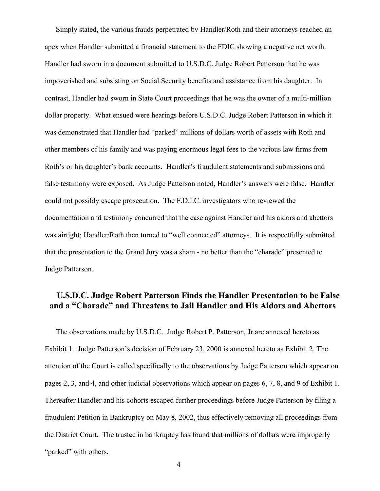Simply stated, the various frauds perpetrated by Handler/Roth and their attorneys reached an apex when Handler submitted a financial statement to the FDIC showing a negative net worth. Handler had sworn in a document submitted to U.S.D.C. Judge Robert Patterson that he was impoverished and subsisting on Social Security benefits and assistance from his daughter. In contrast, Handler had sworn in State Court proceedings that he was the owner of a multi-million dollar property. What ensued were hearings before U.S.D.C. Judge Robert Patterson in which it was demonstrated that Handler had "parked" millions of dollars worth of assets with Roth and other members of his family and was paying enormous legal fees to the various law firms from Roth's or his daughter's bank accounts. Handler's fraudulent statements and submissions and false testimony were exposed. As Judge Patterson noted, Handler's answers were false. Handler could not possibly escape prosecution. The F.D.I.C. investigators who reviewed the documentation and testimony concurred that the case against Handler and his aidors and abettors was airtight; Handler/Roth then turned to "well connected" attorneys. It is respectfully submitted that the presentation to the Grand Jury was a sham - no better than the "charade" presented to Judge Patterson.

## **U.S.D.C. Judge Robert Patterson Finds the Handler Presentation to be False and a "Charade" and Threatens to Jail Handler and His Aidors and Abettors**

The observations made by U.S.D.C. Judge Robert P. Patterson, Jr.are annexed hereto as Exhibit 1. Judge Patterson's decision of February 23, 2000 is annexed hereto as Exhibit 2. The attention of the Court is called specifically to the observations by Judge Patterson which appear on pages 2, 3, and 4, and other judicial observations which appear on pages 6, 7, 8, and 9 of Exhibit 1. Thereafter Handler and his cohorts escaped further proceedings before Judge Patterson by filing a fraudulent Petition in Bankruptcy on May 8, 2002, thus effectively removing all proceedings from the District Court. The trustee in bankruptcy has found that millions of dollars were improperly "parked" with others.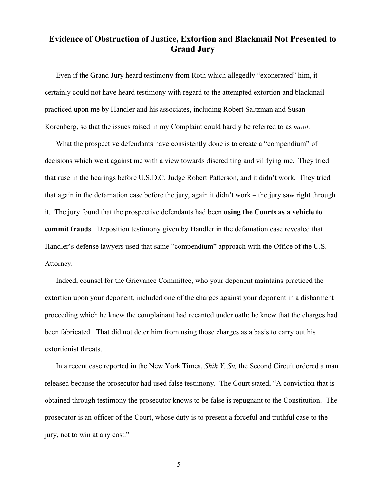# **Evidence of Obstruction of Justice, Extortion and Blackmail Not Presented to Grand Jury**

Even if the Grand Jury heard testimony from Roth which allegedly "exonerated" him, it certainly could not have heard testimony with regard to the attempted extortion and blackmail practiced upon me by Handler and his associates, including Robert Saltzman and Susan Korenberg, so that the issues raised in my Complaint could hardly be referred to as *moot.*

What the prospective defendants have consistently done is to create a "compendium" of decisions which went against me with a view towards discrediting and vilifying me. They tried that ruse in the hearings before U.S.D.C. Judge Robert Patterson, and it didn't work. They tried that again in the defamation case before the jury, again it didn't work – the jury saw right through it. The jury found that the prospective defendants had been **using the Courts as a vehicle to commit frauds**. Deposition testimony given by Handler in the defamation case revealed that Handler's defense lawyers used that same "compendium" approach with the Office of the U.S. Attorney.

Indeed, counsel for the Grievance Committee, who your deponent maintains practiced the extortion upon your deponent, included one of the charges against your deponent in a disbarment proceeding which he knew the complainant had recanted under oath; he knew that the charges had been fabricated. That did not deter him from using those charges as a basis to carry out his extortionist threats.

In a recent case reported in the New York Times, *Shih Y. Su,* the Second Circuit ordered a man released because the prosecutor had used false testimony. The Court stated, "A conviction that is obtained through testimony the prosecutor knows to be false is repugnant to the Constitution. The prosecutor is an officer of the Court, whose duty is to present a forceful and truthful case to the jury, not to win at any cost."

5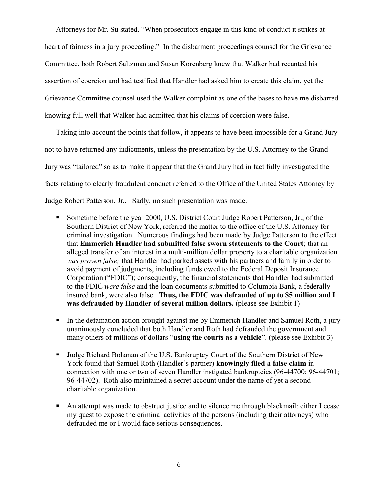Attorneys for Mr. Su stated. "When prosecutors engage in this kind of conduct it strikes at heart of fairness in a jury proceeding." In the disbarment proceedings counsel for the Grievance Committee, both Robert Saltzman and Susan Korenberg knew that Walker had recanted his assertion of coercion and had testified that Handler had asked him to create this claim, yet the Grievance Committee counsel used the Walker complaint as one of the bases to have me disbarred knowing full well that Walker had admitted that his claims of coercion were false.

Taking into account the points that follow, it appears to have been impossible for a Grand Jury not to have returned any indictments, unless the presentation by the U.S. Attorney to the Grand Jury was "tailored" so as to make it appear that the Grand Jury had in fact fully investigated the facts relating to clearly fraudulent conduct referred to the Office of the United States Attorney by Judge Robert Patterson, Jr.. Sadly, no such presentation was made.

- Sometime before the year 2000, U.S. District Court Judge Robert Patterson, Jr., of the Southern District of New York, referred the matter to the office of the U.S. Attorney for criminal investigation. Numerous findings had been made by Judge Patterson to the effect that **Emmerich Handler had submitted false sworn statements to the Court**; that an alleged transfer of an interest in a multi-million dollar property to a charitable organization *was proven false;* that Handler had parked assets with his partners and family in order to avoid payment of judgments, including funds owed to the Federal Deposit Insurance Corporation ("FDIC"); consequently, the financial statements that Handler had submitted to the FDIC *were false* and the loan documents submitted to Columbia Bank, a federally insured bank, were also false. **Thus, the FDIC was defrauded of up to \$5 million and I was defrauded by Handler of several million dollars.** (please see Exhibit 1)
- In the defamation action brought against me by Emmerich Handler and Samuel Roth, a jury unanimously concluded that both Handler and Roth had defrauded the government and many others of millions of dollars "**using the courts as a vehicle**". (please see Exhibit 3)
- Judge Richard Bohanan of the U.S. Bankruptcy Court of the Southern District of New York found that Samuel Roth (Handler's partner) **knowingly filed a false claim** in connection with one or two of seven Handler instigated bankruptcies (96-44700; 96-44701; 96-44702). Roth also maintained a secret account under the name of yet a second charitable organization.
- An attempt was made to obstruct justice and to silence me through blackmail: either I cease my quest to expose the criminal activities of the persons (including their attorneys) who defrauded me or I would face serious consequences.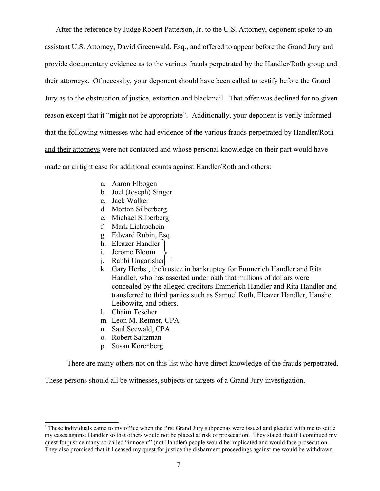After the reference by Judge Robert Patterson, Jr. to the U.S. Attorney, deponent spoke to an assistant U.S. Attorney, David Greenwald, Esq., and offered to appear before the Grand Jury and provide documentary evidence as to the various frauds perpetrated by the Handler/Roth group and their attorneys. Of necessity, your deponent should have been called to testify before the Grand Jury as to the obstruction of justice, extortion and blackmail. That offer was declined for no given reason except that it "might not be appropriate". Additionally, your deponent is verily informed that the following witnesses who had evidence of the various frauds perpetrated by Handler/Roth and their attorneys were not contacted and whose personal knowledge on their part would have made an airtight case for additional counts against Handler/Roth and others:

- a. Aaron Elbogen
- b. Joel (Joseph) Singer
- c. Jack Walker
- d. Morton Silberberg
- e. Michael Silberberg
- f. Mark Lichtschein
- g. Edward Rubin, Esq.
- h. Eleazer Handler
- i. Jerome Bloom
- j. Rabbi Ungarisher <sup>[1](#page-6-0)</sup>
- k. Gary Herbst, the trustee in bankruptcy for Emmerich Handler and Rita Handler, who has asserted under oath that millions of dollars were concealed by the alleged creditors Emmerich Handler and Rita Handler and transferred to third parties such as Samuel Roth, Eleazer Handler, Hanshe Leibowitz, and others.
- l. Chaim Tescher
- m. Leon M. Reimer, CPA
- n. Saul Seewald, CPA
- o. Robert Saltzman
- p. Susan Korenberg

There are many others not on this list who have direct knowledge of the frauds perpetrated.

These persons should all be witnesses, subjects or targets of a Grand Jury investigation.

<span id="page-6-0"></span><sup>1</sup> These individuals came to my office when the first Grand Jury subpoenas were issued and pleaded with me to settle my cases against Handler so that others would not be placed at risk of prosecution. They stated that if I continued my quest for justice many so-called "innocent" (not Handler) people would be implicated and would face prosecution. They also promised that if I ceased my quest for justice the disbarment proceedings against me would be withdrawn.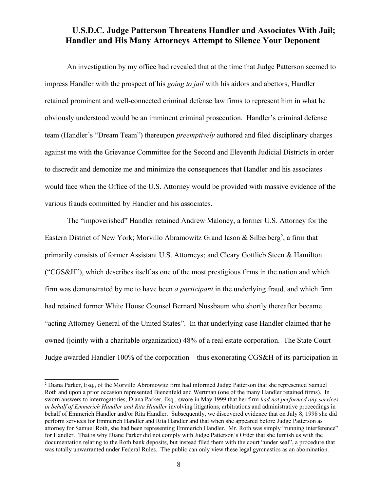## **U.S.D.C. Judge Patterson Threatens Handler and Associates With Jail; Handler and His Many Attorneys Attempt to Silence Your Deponent**

An investigation by my office had revealed that at the time that Judge Patterson seemed to impress Handler with the prospect of his *going to jail* with his aidors and abettors, Handler retained prominent and well-connected criminal defense law firms to represent him in what he obviously understood would be an imminent criminal prosecution. Handler's criminal defense team (Handler's "Dream Team") thereupon *preemptively* authored and filed disciplinary charges against me with the Grievance Committee for the Second and Eleventh Judicial Districts in order to discredit and demonize me and minimize the consequences that Handler and his associates would face when the Office of the U.S. Attorney would be provided with massive evidence of the various frauds committed by Handler and his associates.

The "impoverished" Handler retained Andrew Maloney, a former U.S. Attorney for the Eastern District of New York; Morvillo Abramowitz Grand Iason  $\&$  Silberberg<sup>[2](#page-7-0)</sup>, a firm that primarily consists of former Assistant U.S. Attorneys; and Cleary Gottlieb Steen & Hamilton ("CGS&H"), which describes itself as one of the most prestigious firms in the nation and which firm was demonstrated by me to have been *a participant* in the underlying fraud, and which firm had retained former White House Counsel Bernard Nussbaum who shortly thereafter became "acting Attorney General of the United States". In that underlying case Handler claimed that he owned (jointly with a charitable organization) 48% of a real estate corporation. The State Court Judge awarded Handler 100% of the corporation – thus exonerating CGS&H of its participation in

<span id="page-7-0"></span><sup>&</sup>lt;sup>2</sup> Diana Parker, Esq., of the Morvillo Abromowitz firm had informed Judge Patterson that she represented Samuel Roth and upon a prior occasion represented Bienenfeld and Wertman (one of the many Handler retained firms). In sworn answers to interrogatories, Diana Parker, Esq., swore in May 1999 that her firm *had not performed any services in behalf of Emmerich Handler and Rita Handler* involving litigations, arbitrations and administrative proceedings in behalf of Emmerich Handler and/or Rita Handler. Subsequently, we discovered evidence that on July 8, 1998 she did perform services for Emmerich Handler and Rita Handler and that when she appeared before Judge Patterson as attorney for Samuel Roth, she had been representing Emmerich Handler. Mr. Roth was simply "running interference" for Handler. That is why Diane Parker did not comply with Judge Patterson's Order that she furnish us with the documentation relating to the Roth bank deposits, but instead filed them with the court "under seal", a procedure that was totally unwarranted under Federal Rules. The public can only view these legal gymnastics as an abomination.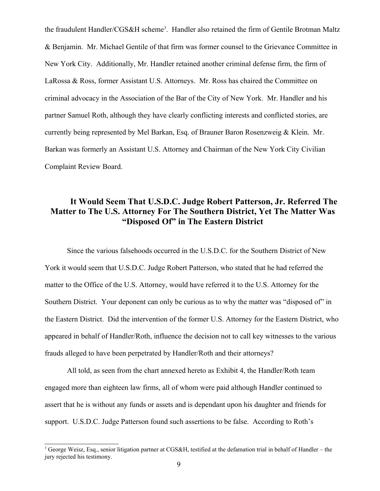the fraudulent Handler/CGS&H scheme<sup>[3](#page-8-0)</sup>. Handler also retained the firm of Gentile Brotman Maltz & Benjamin. Mr. Michael Gentile of that firm was former counsel to the Grievance Committee in New York City. Additionally, Mr. Handler retained another criminal defense firm, the firm of LaRossa & Ross, former Assistant U.S. Attorneys. Mr. Ross has chaired the Committee on criminal advocacy in the Association of the Bar of the City of New York. Mr. Handler and his partner Samuel Roth, although they have clearly conflicting interests and conflicted stories, are currently being represented by Mel Barkan, Esq. of Brauner Baron Rosenzweig & Klein. Mr. Barkan was formerly an Assistant U.S. Attorney and Chairman of the New York City Civilian Complaint Review Board.

## **It Would Seem That U.S.D.C. Judge Robert Patterson, Jr. Referred The Matter to The U.S. Attorney For The Southern District, Yet The Matter Was "Disposed Of" in The Eastern District**

Since the various falsehoods occurred in the U.S.D.C. for the Southern District of New York it would seem that U.S.D.C. Judge Robert Patterson, who stated that he had referred the matter to the Office of the U.S. Attorney, would have referred it to the U.S. Attorney for the Southern District. Your deponent can only be curious as to why the matter was "disposed of" in the Eastern District. Did the intervention of the former U.S. Attorney for the Eastern District, who appeared in behalf of Handler/Roth, influence the decision not to call key witnesses to the various frauds alleged to have been perpetrated by Handler/Roth and their attorneys?

All told, as seen from the chart annexed hereto as Exhibit 4, the Handler/Roth team engaged more than eighteen law firms, all of whom were paid although Handler continued to assert that he is without any funds or assets and is dependant upon his daughter and friends for support. U.S.D.C. Judge Patterson found such assertions to be false. According to Roth's

<span id="page-8-0"></span><sup>&</sup>lt;sup>3</sup> George Weisz, Esq., senior litigation partner at CGS&H, testified at the defamation trial in behalf of Handler – the jury rejected his testimony.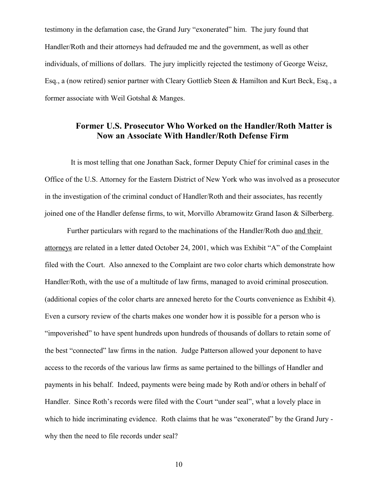testimony in the defamation case, the Grand Jury "exonerated" him. The jury found that Handler/Roth and their attorneys had defrauded me and the government, as well as other individuals, of millions of dollars. The jury implicitly rejected the testimony of George Weisz, Esq., a (now retired) senior partner with Cleary Gottlieb Steen & Hamilton and Kurt Beck, Esq., a former associate with Weil Gotshal & Manges.

#### **Former U.S. Prosecutor Who Worked on the Handler/Roth Matter is Now an Associate With Handler/Roth Defense Firm**

 It is most telling that one Jonathan Sack, former Deputy Chief for criminal cases in the Office of the U.S. Attorney for the Eastern District of New York who was involved as a prosecutor in the investigation of the criminal conduct of Handler/Roth and their associates, has recently joined one of the Handler defense firms, to wit, Morvillo Abramowitz Grand Iason & Silberberg.

Further particulars with regard to the machinations of the Handler/Roth duo and their attorneys are related in a letter dated October 24, 2001, which was Exhibit "A" of the Complaint filed with the Court. Also annexed to the Complaint are two color charts which demonstrate how Handler/Roth, with the use of a multitude of law firms, managed to avoid criminal prosecution. (additional copies of the color charts are annexed hereto for the Courts convenience as Exhibit 4). Even a cursory review of the charts makes one wonder how it is possible for a person who is "impoverished" to have spent hundreds upon hundreds of thousands of dollars to retain some of the best "connected" law firms in the nation. Judge Patterson allowed your deponent to have access to the records of the various law firms as same pertained to the billings of Handler and payments in his behalf. Indeed, payments were being made by Roth and/or others in behalf of Handler. Since Roth's records were filed with the Court "under seal", what a lovely place in which to hide incriminating evidence. Roth claims that he was "exonerated" by the Grand Jury why then the need to file records under seal?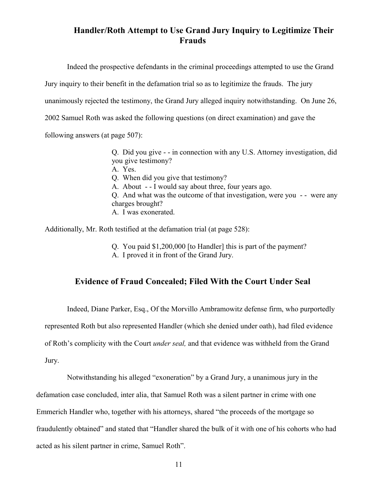# **Handler/Roth Attempt to Use Grand Jury Inquiry to Legitimize Their Frauds**

Indeed the prospective defendants in the criminal proceedings attempted to use the Grand

Jury inquiry to their benefit in the defamation trial so as to legitimize the frauds. The jury

unanimously rejected the testimony, the Grand Jury alleged inquiry notwithstanding. On June 26,

2002 Samuel Roth was asked the following questions (on direct examination) and gave the

following answers (at page 507):

Q. Did you give - - in connection with any U.S. Attorney investigation, did you give testimony? A. Yes. Q. When did you give that testimony?

A. About - - I would say about three, four years ago.

Q. And what was the outcome of that investigation, were you -- were any charges brought?

A. I was exonerated.

Additionally, Mr. Roth testified at the defamation trial (at page 528):

Q. You paid \$1,200,000 [to Handler] this is part of the payment? A. I proved it in front of the Grand Jury.

#### **Evidence of Fraud Concealed; Filed With the Court Under Seal**

Indeed, Diane Parker, Esq., Of the Morvillo Ambramowitz defense firm, who purportedly

represented Roth but also represented Handler (which she denied under oath), had filed evidence

of Roth's complicity with the Court *under seal,* and that evidence was withheld from the Grand

Jury.

Notwithstanding his alleged "exoneration" by a Grand Jury, a unanimous jury in the defamation case concluded, inter alia, that Samuel Roth was a silent partner in crime with one Emmerich Handler who, together with his attorneys, shared "the proceeds of the mortgage so fraudulently obtained" and stated that "Handler shared the bulk of it with one of his cohorts who had acted as his silent partner in crime, Samuel Roth".